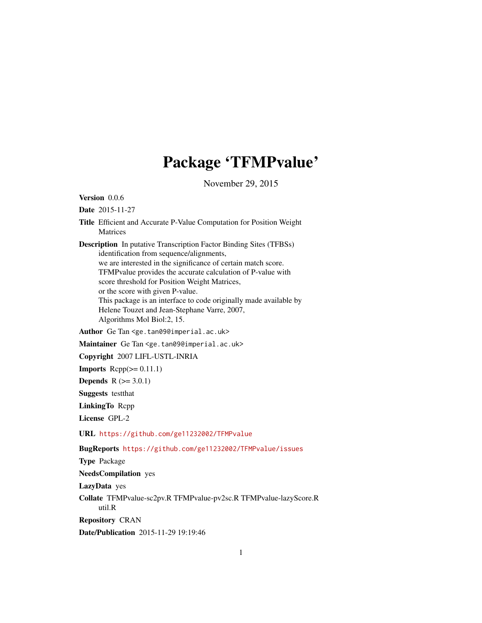## Package 'TFMPvalue'

November 29, 2015

Version 0.0.6

Date 2015-11-27

Title Efficient and Accurate P-Value Computation for Position Weight Matrices

Description In putative Transcription Factor Binding Sites (TFBSs) identification from sequence/alignments, we are interested in the significance of certain match score. TFMPvalue provides the accurate calculation of P-value with score threshold for Position Weight Matrices, or the score with given P-value. This package is an interface to code originally made available by Helene Touzet and Jean-Stephane Varre, 2007, Algorithms Mol Biol:2, 15.

Author Ge Tan <ge.tan09@imperial.ac.uk>

Maintainer Ge Tan <ge.tan09@imperial.ac.uk>

Copyright 2007 LIFL-USTL-INRIA

**Imports**  $\text{Rcpp}(\geq 0.11.1)$ 

**Depends**  $R (= 3.0.1)$ 

Suggests testthat

LinkingTo Rcpp

License GPL-2

URL <https://github.com/ge11232002/TFMPvalue>

BugReports <https://github.com/ge11232002/TFMPvalue/issues>

Type Package

NeedsCompilation yes

LazyData yes

Collate TFMPvalue-sc2pv.R TFMPvalue-pv2sc.R TFMPvalue-lazyScore.R util.R

Repository CRAN

Date/Publication 2015-11-29 19:19:46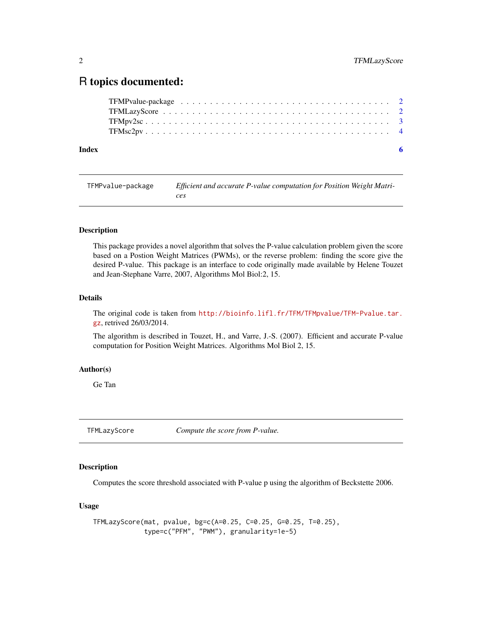### <span id="page-1-0"></span>R topics documented:

| Index | - 6 |
|-------|-----|

TFMPvalue-package *Efficient and accurate P-value computation for Position Weight Matrices*

#### Description

This package provides a novel algorithm that solves the P-value calculation problem given the score based on a Postion Weight Matrices (PWMs), or the reverse problem: finding the score give the desired P-value. This package is an interface to code originally made available by Helene Touzet and Jean-Stephane Varre, 2007, Algorithms Mol Biol:2, 15.

#### Details

The original code is taken from [http://bioinfo.lifl.fr/TFM/TFMpvalue/TFM-Pvalue.tar.](http://bioinfo.lifl.fr/TFM/TFMpvalue/TFM-Pvalue.tar.gz) [gz](http://bioinfo.lifl.fr/TFM/TFMpvalue/TFM-Pvalue.tar.gz), retrived 26/03/2014.

The algorithm is described in Touzet, H., and Varre, J.-S. (2007). Efficient and accurate P-value computation for Position Weight Matrices. Algorithms Mol Biol 2, 15.

#### Author(s)

Ge Tan

TFMLazyScore *Compute the score from P-value.*

#### Description

Computes the score threshold associated with P-value p using the algorithm of Beckstette 2006.

#### Usage

TFMLazyScore(mat, pvalue, bg=c(A=0.25, C=0.25, G=0.25, T=0.25), type=c("PFM", "PWM"), granularity=1e-5)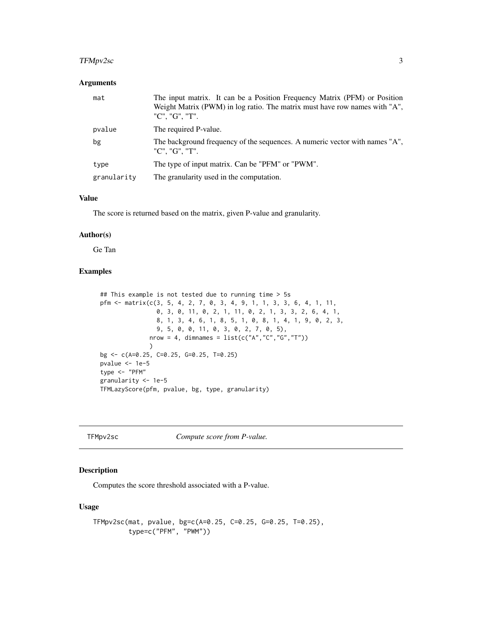#### <span id="page-2-0"></span>TFMpv2sc 3

#### Arguments

| mat         | The input matrix. It can be a Position Frequency Matrix (PFM) or Position<br>Weight Matrix (PWM) in log ratio. The matrix must have row names with "A",<br>"C", "G", "T". |
|-------------|---------------------------------------------------------------------------------------------------------------------------------------------------------------------------|
| pvalue      | The required P-value.                                                                                                                                                     |
| bg          | The background frequency of the sequences. A numeric vector with names "A",<br>"C", "G", "T".                                                                             |
| type        | The type of input matrix. Can be "PFM" or "PWM".                                                                                                                          |
| granularity | The granularity used in the computation.                                                                                                                                  |

#### Value

The score is returned based on the matrix, given P-value and granularity.

#### Author(s)

Ge Tan

#### Examples

```
## This example is not tested due to running time > 5s
pfm <- matrix(c(3, 5, 4, 2, 7, 0, 3, 4, 9, 1, 1, 3, 3, 6, 4, 1, 11,
                0, 3, 0, 11, 0, 2, 1, 11, 0, 2, 1, 3, 3, 2, 6, 4, 1,
                8, 1, 3, 4, 6, 1, 8, 5, 1, 0, 8, 1, 4, 1, 9, 0, 2, 3,
                9, 5, 0, 0, 11, 0, 3, 0, 2, 7, 0, 5),
              nrow = 4, dimnames = list(c("A", "C", "G", "T")))
bg <- c(A=0.25, C=0.25, G=0.25, T=0.25)
pvalue <- 1e-5
type <- "PFM"
granularity <- 1e-5
TFMLazyScore(pfm, pvalue, bg, type, granularity)
```
TFMpv2sc *Compute score from P-value.*

#### Description

Computes the score threshold associated with a P-value.

#### Usage

```
TFMpv2sc(mat, pvalue, bg=c(A=0.25, C=0.25, G=0.25, T=0.25),
         type=c("PFM", "PWM"))
```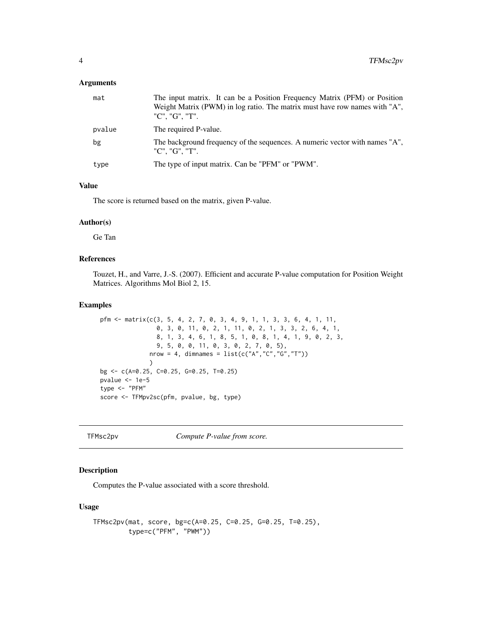#### <span id="page-3-0"></span>Arguments

| mat    | The input matrix. It can be a Position Frequency Matrix (PFM) or Position<br>Weight Matrix (PWM) in log ratio. The matrix must have row names with "A",<br>"C". "G". "T". |
|--------|---------------------------------------------------------------------------------------------------------------------------------------------------------------------------|
| pvalue | The required P-value.                                                                                                                                                     |
| bg     | The background frequency of the sequences. A numeric vector with names "A",<br>"C". "G". "T".                                                                             |
| type   | The type of input matrix. Can be "PFM" or "PWM".                                                                                                                          |

#### Value

The score is returned based on the matrix, given P-value.

#### Author(s)

Ge Tan

#### References

Touzet, H., and Varre, J.-S. (2007). Efficient and accurate P-value computation for Position Weight Matrices. Algorithms Mol Biol 2, 15.

#### Examples

```
pfm <- matrix(c(3, 5, 4, 2, 7, 0, 3, 4, 9, 1, 1, 3, 3, 6, 4, 1, 11,
                0, 3, 0, 11, 0, 2, 1, 11, 0, 2, 1, 3, 3, 2, 6, 4, 1,
                8, 1, 3, 4, 6, 1, 8, 5, 1, 0, 8, 1, 4, 1, 9, 0, 2, 3,
                9, 5, 0, 0, 11, 0, 3, 0, 2, 7, 0, 5),
              nrow = 4, dimnames = list(c("A", "C", "G", "T")))
bg <- c(A=0.25, C=0.25, G=0.25, T=0.25)
pvalue <- 1e-5
type <- "PFM"
score <- TFMpv2sc(pfm, pvalue, bg, type)
```
TFMsc2pv *Compute P-value from score.*

#### Description

Computes the P-value associated with a score threshold.

#### Usage

```
TFMsc2pv(mat, score, bg=c(A=0.25, C=0.25, G=0.25, T=0.25),
         type=c("PFM", "PWM"))
```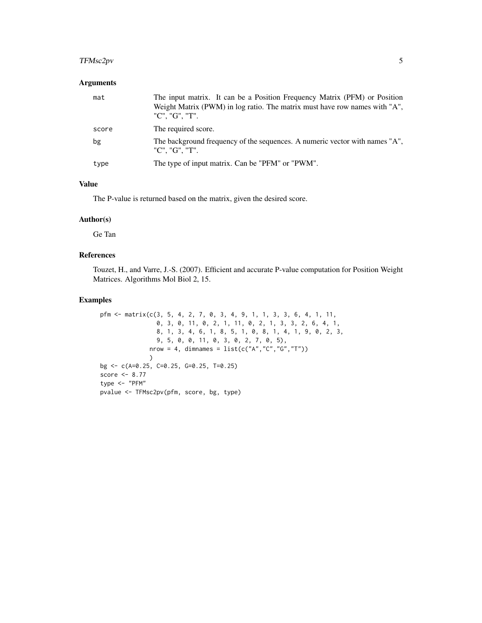#### TFMsc2pv 5

#### Arguments

| mat   | The input matrix. It can be a Position Frequency Matrix (PFM) or Position<br>Weight Matrix (PWM) in log ratio. The matrix must have row names with "A",<br>"C". "G". "T". |
|-------|---------------------------------------------------------------------------------------------------------------------------------------------------------------------------|
| score | The required score.                                                                                                                                                       |
| bg    | The background frequency of the sequences. A numeric vector with names "A",<br>"C". "G". "T".                                                                             |
| type  | The type of input matrix. Can be "PFM" or "PWM".                                                                                                                          |

#### Value

The P-value is returned based on the matrix, given the desired score.

#### Author(s)

Ge Tan

#### References

Touzet, H., and Varre, J.-S. (2007). Efficient and accurate P-value computation for Position Weight Matrices. Algorithms Mol Biol 2, 15.

#### Examples

```
pfm <- matrix(c(3, 5, 4, 2, 7, 0, 3, 4, 9, 1, 1, 3, 3, 6, 4, 1, 11,
                0, 3, 0, 11, 0, 2, 1, 11, 0, 2, 1, 3, 3, 2, 6, 4, 1,
                8, 1, 3, 4, 6, 1, 8, 5, 1, 0, 8, 1, 4, 1, 9, 0, 2, 3,
                9, 5, 0, 0, 11, 0, 3, 0, 2, 7, 0, 5),
              nrow = 4, dimnames = list(c("A", "C", "G", "T")))
bg <- c(A=0.25, C=0.25, G=0.25, T=0.25)
score <- 8.77
type <- "PFM"
pvalue <- TFMsc2pv(pfm, score, bg, type)
```